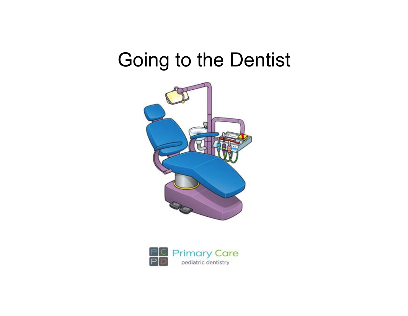## Going to the Dentist



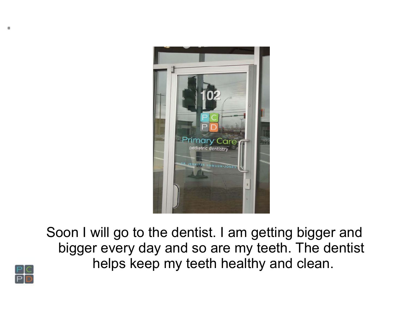

Soon I will go to the dentist. I am getting bigger and bigger every day and so are my teeth. The dentist helps keep my teeth healthy and clean.

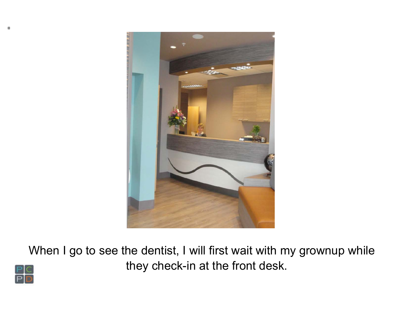

When I go to see the dentist, I will first wait with my grownup while they check-in at the front desk.

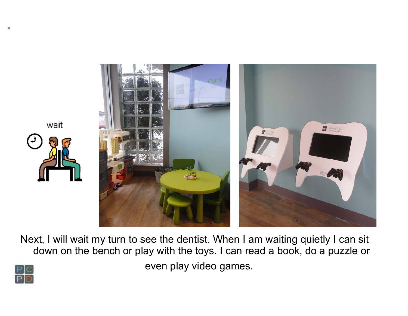

Next, I will wait my turn to see the dentist. When I am waiting quietly I can sit down on the bench or play with the toys. I can read a book, do a puzzle or even play video games.

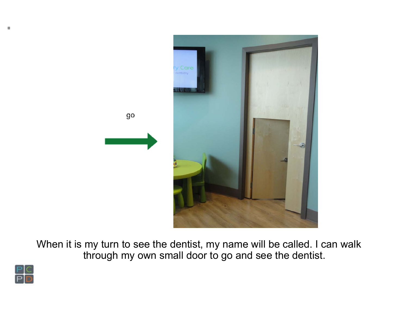

When it is my turn to see the dentist, my name will be called. I can walk through my own small door to go and see the dentist.

go

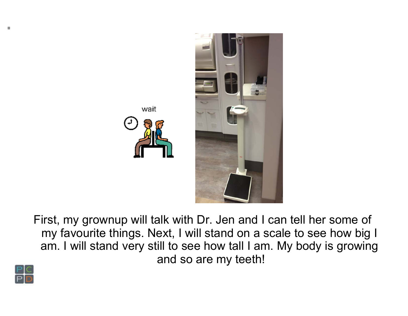



First, my grownup will talk with Dr. Jen and I can tell her some of my favourite things. Next, I will stand on a scale to see how big I am. I will stand very still to see how tall I am. My body is growing and so are my teeth!

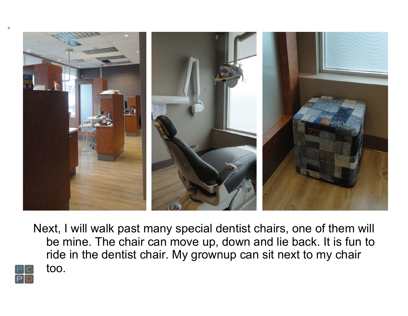

Next, I will walk past many special dentist chairs, one of them will be mine. The chair can move up, down and lie back. It is fun to ride in the dentist chair. My grownup can sit next to my chair too.

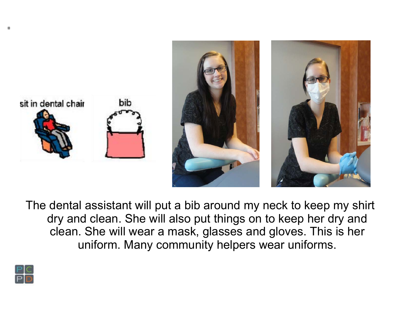

The dental assistant will put a bib around my neck to keep my shirt dry and clean. She will also put things on to keep her dry and clean. She will wear a mask, glasses and gloves. This is her uniform. Many community helpers wear uniforms.

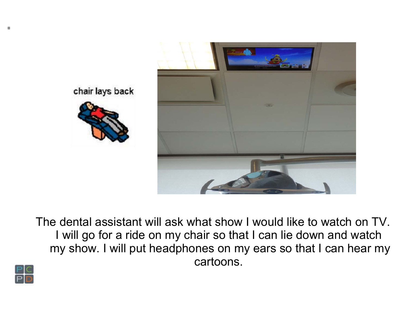

chair lays back



The dental assistant will ask what show I would like to watch on TV. I will go for a ride on my chair so that I can lie down and watch my show. I will put headphones on my ears so that I can hear my cartoons.

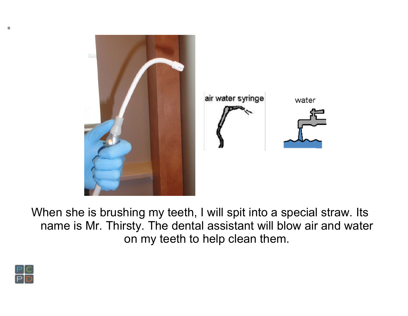

When she is brushing my teeth, I will spit into a special straw. Its name is Mr. Thirsty. The dental assistant will blow air and water on my teeth to help clean them.

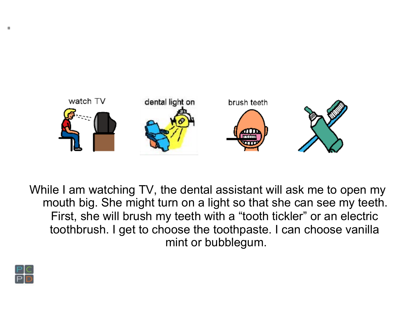

While I am watching TV, the dental assistant will ask me to open my mouth big. She might turn on a light so that she can see my teeth. First, she will brush my teeth with a "tooth tickler" or an electric toothbrush. I get to choose the toothpaste. I can choose vanilla mint or bubblegum.

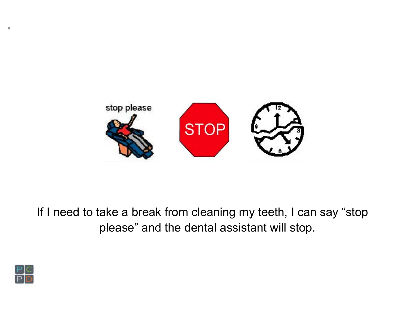

If I need to take a break from cleaning my teeth, I can say "stop please" and the dental assistant will stop.

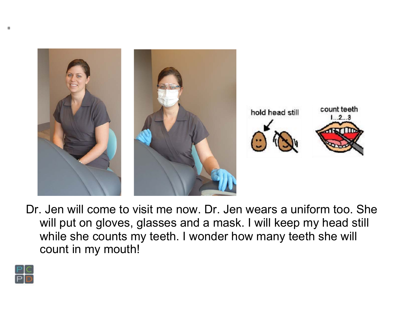

Dr. Jen will come to visit me now. Dr. Jen wears a uniform too. She will put on gloves, glasses and a mask. I will keep my head still while she counts my teeth. I wonder how many teeth she will count in my mouth!

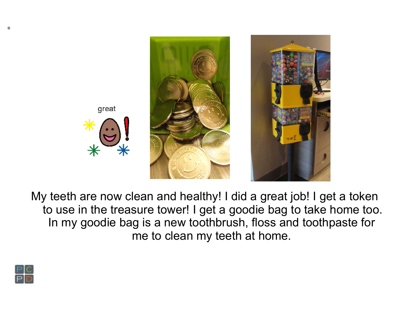

My teeth are now clean and healthy! I did a great job! I get a token to use in the treasure tower! I get a goodie bag to take home too. In my goodie bag is a new toothbrush, floss and toothpaste for me to clean my teeth at home.